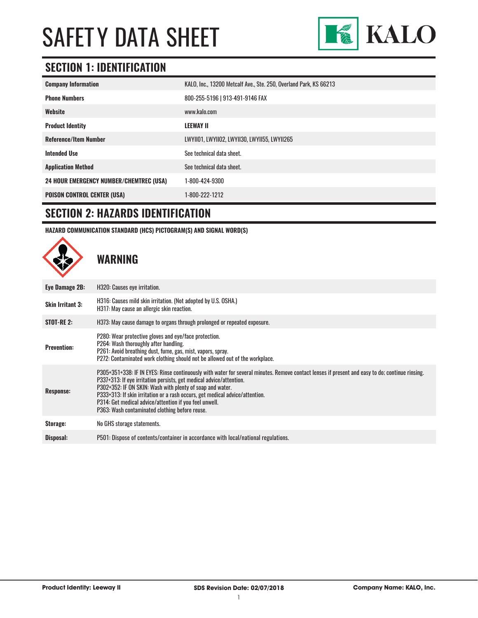

### **SECTION 1: IDENTIFICATION**

| <b>Company Information</b>                     | KALO, Inc., 13200 Metcalf Ave., Ste. 250, Overland Park, KS 66213 |
|------------------------------------------------|-------------------------------------------------------------------|
| <b>Phone Numbers</b>                           | 800-255-5196   913-491-9146 FAX                                   |
| Website                                        | www.kalo.com                                                      |
| <b>Product Identity</b>                        | <b>LEEWAY II</b>                                                  |
| <b>Reference/Item Number</b>                   | LWYII01, LWYII02, LWYII30, LWYII55, LWYII265                      |
| <b>Intended Use</b>                            | See technical data sheet.                                         |
| <b>Application Method</b>                      | See technical data sheet.                                         |
| <b>24 HOUR EMERGENCY NUMBER/CHEMTREC (USA)</b> | 1-800-424-9300                                                    |
| <b>POISON CONTROL CENTER (USA)</b>             | 1-800-222-1212                                                    |

#### **SECTION 2: HAZARDS IDENTIFICATION**

**HAZARD COMMUNICATION STANDARD (HCS) PICTOGRAM(S) AND SIGNAL WORD(S)**

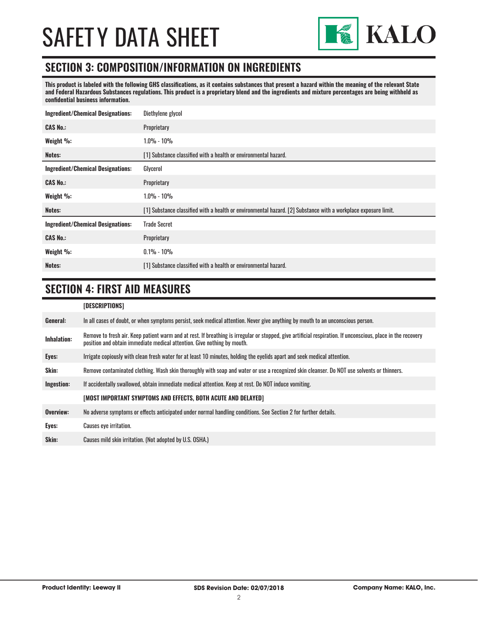

### **SECTION 3: COMPOSITION/INFORMATION ON INGREDIENTS**

**This product is labeled with the following GHS classifications, as it contains substances that present a hazard within the meaning of the relevant State and Federal Hazardous Substances regulations. This product is a proprietary blend and the ingredients and mixture percentages are being withheld as confidential business information.**

| <b>Ingredient/Chemical Designations:</b> | Diethylene glycol                                                                                              |
|------------------------------------------|----------------------------------------------------------------------------------------------------------------|
| <b>CAS No.:</b>                          | Proprietary                                                                                                    |
| Weight %:                                | 1.0% - 10%                                                                                                     |
| Notes:                                   | [1] Substance classified with a health or environmental hazard.                                                |
| <b>Ingredient/Chemical Designations:</b> | Glycerol                                                                                                       |
| <b>CAS No.:</b>                          | Proprietary                                                                                                    |
| Weight %:                                | 1.0% - 10%                                                                                                     |
| Notes:                                   | [1] Substance classified with a health or environmental hazard. [2] Substance with a workplace exposure limit. |
| <b>Ingredient/Chemical Designations:</b> | <b>Trade Secret</b>                                                                                            |
| <b>CAS No.:</b>                          | Proprietary                                                                                                    |
| Weight %:                                | $0.1\% - 10\%$                                                                                                 |
| Notes:                                   | [1] Substance classified with a health or environmental hazard.                                                |

### **SECTION 4: FIRST AID MEASURES**

|                    | [DESCRIPTIONS]                                                                                                                                                                                                                          |
|--------------------|-----------------------------------------------------------------------------------------------------------------------------------------------------------------------------------------------------------------------------------------|
| General:           | In all cases of doubt, or when symptoms persist, seek medical attention. Never give anything by mouth to an unconscious person.                                                                                                         |
| <b>Inhalation:</b> | Remove to fresh air. Keep patient warm and at rest. If breathing is irregular or stopped, give artificial respiration. If unconscious, place in the recovery<br>position and obtain immediate medical attention. Give nothing by mouth. |
| Eyes:              | Irrigate copiously with clean fresh water for at least 10 minutes, holding the eyelids apart and seek medical attention.                                                                                                                |
| Skin:              | Remove contaminated clothing. Wash skin thoroughly with soap and water or use a recognized skin cleanser. Do NOT use solvents or thinners.                                                                                              |
| Ingestion:         | If accidentally swallowed, obtain immediate medical attention. Keep at rest, Do NOT induce vomiting.                                                                                                                                    |
|                    | [MOST IMPORTANT SYMPTOMS AND EFFECTS, BOTH ACUTE AND DELAYED]                                                                                                                                                                           |
| Overview:          | No adverse symptoms or effects anticipated under normal handling conditions. See Section 2 for further details.                                                                                                                         |
| Eyes:              | <b>Causes eye irritation.</b>                                                                                                                                                                                                           |
| Skin:              | Causes mild skin irritation. (Not adopted by U.S. OSHA.)                                                                                                                                                                                |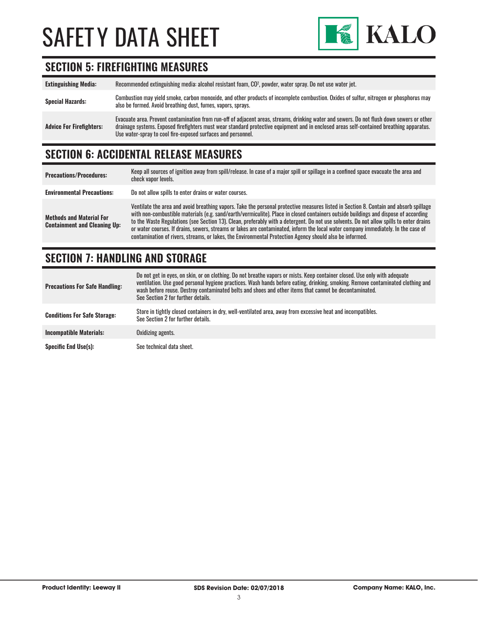

### **SECTION 5: FIREFIGHTING MEASURES**

| <b>Extinguishing Media:</b>     | Recommended extinguishing media: alcohol resistant foam, CO <sup>2</sup> , powder, water spray. Do not use water jet.                                                                                                                                                                                                                                  |
|---------------------------------|--------------------------------------------------------------------------------------------------------------------------------------------------------------------------------------------------------------------------------------------------------------------------------------------------------------------------------------------------------|
| <b>Special Hazards:</b>         | Combustion may yield smoke, carbon monoxide, and other products of incomplete combustion. Oxides of sulfur, nitrogen or phosphorus may<br>also be formed. Avoid breathing dust, fumes, vapors, sprays.                                                                                                                                                 |
| <b>Advice For Firefighters:</b> | Evacuate area. Prevent contamination from run-off of adjacent areas, streams, drinking water and sewers. Do not flush down sewers or other<br>drainage systems. Exposed firefighters must wear standard protective equipment and in enclosed areas self-contained breathing apparatus.<br>Use water-spray to cool fire-exposed surfaces and personnel. |

## **SECTION 6: ACCIDENTAL RELEASE MEASURES**

| <b>Precautions/Procedures:</b>                                         | Keep all sources of ignition away from spill/release. In case of a major spill or spillage in a confined space evacuate the area and<br>check vapor levels.                                                                                                                                                                                                                                                                                                                                                                                                                                                                                                               |
|------------------------------------------------------------------------|---------------------------------------------------------------------------------------------------------------------------------------------------------------------------------------------------------------------------------------------------------------------------------------------------------------------------------------------------------------------------------------------------------------------------------------------------------------------------------------------------------------------------------------------------------------------------------------------------------------------------------------------------------------------------|
| <b>Environmental Precautions:</b>                                      | Do not allow spills to enter drains or water courses.                                                                                                                                                                                                                                                                                                                                                                                                                                                                                                                                                                                                                     |
| <b>Methods and Material For</b><br><b>Containment and Cleaning Up:</b> | Ventilate the area and avoid breathing vapors. Take the personal protective measures listed in Section 8. Contain and absorb spillage<br>with non-combustible materials (e.g. sand/earth/vermiculite). Place in closed containers outside buildings and dispose of according<br>to the Waste Regulations (see Section 13). Clean, preferably with a detergent. Do not use solvents. Do not allow spills to enter drains<br>or water courses. If drains, sewers, streams or lakes are contaminated, inform the local water company immediately. In the case of<br>contamination of rivers, streams, or lakes, the Environmental Protection Agency should also be informed. |

### **SECTION 7: HANDLING AND STORAGE**

| <b>Precautions For Safe Handling:</b> | Do not get in eyes, on skin, or on clothing. Do not breathe vapors or mists. Keep container closed. Use only with adequate<br>ventilation. Use good personal hygiene practices. Wash hands before eating, drinking, smoking. Remove contaminated clothing and<br>wash before reuse. Destroy contaminated belts and shoes and other items that cannot be decontaminated.<br>See Section 2 for further details. |
|---------------------------------------|---------------------------------------------------------------------------------------------------------------------------------------------------------------------------------------------------------------------------------------------------------------------------------------------------------------------------------------------------------------------------------------------------------------|
| <b>Conditions For Safe Storage:</b>   | Store in tightly closed containers in dry, well-ventilated area, away from excessive heat and incompatibles.<br>See Section 2 for further details.                                                                                                                                                                                                                                                            |
| <b>Incompatible Materials:</b>        | Oxidizing agents.                                                                                                                                                                                                                                                                                                                                                                                             |
| <b>Specific End Use(s):</b>           | See technical data sheet.                                                                                                                                                                                                                                                                                                                                                                                     |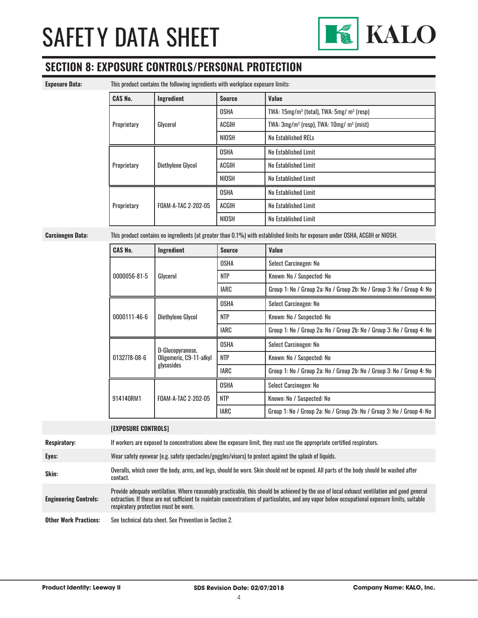

### **SECTION 8: EXPOSURE CONTROLS/PERSONAL PROTECTION**

| <b>Exposure Data:</b> |  |
|-----------------------|--|
|-----------------------|--|

**Exposure Data:** This product contains the following ingredients with workplace exposure limits:

| mo prouust oomtanio the fonoming mgrouonto mtn moripiuoe exposure innito- |                     |                      |                                               |
|---------------------------------------------------------------------------|---------------------|----------------------|-----------------------------------------------|
| <b>CAS No.</b>                                                            | Ingredient          | <b>Source</b>        | Value                                         |
| Glycerol<br>Proprietary                                                   |                     | OSHA                 | TWA: $15mg/m3$ (total), TWA: $5mg/m3$ (resp)  |
|                                                                           |                     | ACGIH                | TWA: $3mg/m^3$ (resp), TWA: $10mg/m^3$ (mist) |
|                                                                           |                     | NIOSH                | No Established RELs                           |
| Diethylene Glycol<br>Proprietary                                          | <b>OSHA</b>         | No Established Limit |                                               |
|                                                                           |                     | <b>ACGIH</b>         | No Established Limit                          |
|                                                                           |                     | NIOSH                | No Established Limit                          |
| Proprietary                                                               |                     | <b>OSHA</b>          | No Established Limit                          |
|                                                                           | FOAM-A-TAC 2-202-05 | ACGIH                | No Established Limit                          |
|                                                                           |                     | NIOSH                | No Established Limit                          |

**Carcinogen Data:** This product contains no ingredients (at greater than 0.1%) with established limits for exposure under OSHA, ACGIH or NIOSH.

| <b>CAS No.</b> | Ingredient                                                | <b>Source</b> | Value                                                                 |
|----------------|-----------------------------------------------------------|---------------|-----------------------------------------------------------------------|
| 0000056-81-5   | Glvcerol                                                  | <b>OSHA</b>   | Select Carcinogen: No                                                 |
|                |                                                           | <b>NTP</b>    | Known: No / Suspected: No                                             |
|                |                                                           | IARC          | Group 1: No / Group 2a: No / Group 2b: No / Group 3: No / Group 4: No |
| 0000111-46-6   |                                                           | <b>OSHA</b>   | Select Carcinogen: No                                                 |
|                | Diethylene Glycol                                         | <b>NTP</b>    | Known: No / Suspected: No                                             |
|                |                                                           | IARC          | Group 1: No / Group 2a: No / Group 2b: No / Group 3: No / Group 4: No |
| 0132778-08-6   | D-Glucopyranose,<br>Oligomeric, C9-11-alkyl<br>glycosides | <b>OSHA</b>   | Select Carcinogen: No                                                 |
|                |                                                           | <b>NTP</b>    | Known: No / Suspected: No                                             |
|                |                                                           | <b>IARC</b>   | Group 1: No / Group 2a: No / Group 2b: No / Group 3: No / Group 4: No |
| 914140RM1      | FOAM-A-TAC 2-202-05                                       | <b>OSHA</b>   | Select Carcinogen: No                                                 |
|                |                                                           | <b>NTP</b>    | Known: No / Suspected: No                                             |
|                |                                                           | <b>IARC</b>   | Group 1: No / Group 2a: No / Group 2b: No / Group 3: No / Group 4: No |

|                              | <b>[EXPOSURE CONTROLS]</b>                                                                                                                                                                                                                                                                                                             |
|------------------------------|----------------------------------------------------------------------------------------------------------------------------------------------------------------------------------------------------------------------------------------------------------------------------------------------------------------------------------------|
| <b>Respiratory:</b>          | If workers are exposed to concentrations above the exposure limit, they must use the appropriate certified respirators.                                                                                                                                                                                                                |
| Eyes:                        | Wear safety eyewear (e.g. safety spectacles/goggles/visors) to protect against the splash of liquids.                                                                                                                                                                                                                                  |
| Skin:                        | Overalls, which cover the body, arms, and legs, should be worn. Skin should not be exposed. All parts of the body should be washed after<br>contact.                                                                                                                                                                                   |
| <b>Engineering Controls:</b> | Provide adequate ventilation. Where reasonably practicable, this should be achieved by the use of local exhaust ventilation and good general<br>extraction. If these are not sufficient to maintain concentrations of particulates, and any vapor below occupational exposure limits, suitable<br>respiratory protection must be worn. |
| <b>Other Work Practices:</b> | See technical data sheet. See Prevention in Section 2.                                                                                                                                                                                                                                                                                 |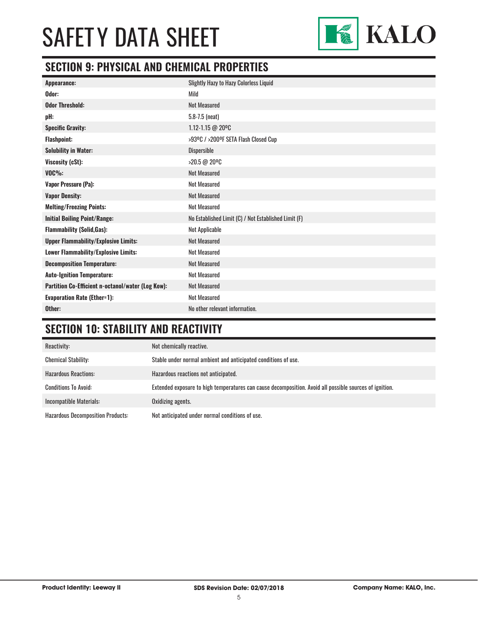

## **SECTION 9: PHYSICAL AND CHEMICAL PROPERTIES**

| <b>Slightly Hazy to Hazy Colorless Liquid</b>        |
|------------------------------------------------------|
| Mild                                                 |
| <b>Not Measured</b>                                  |
| $5.8 - 7.5$ (neat)                                   |
| 1.12-1.15 @ 20°C                                     |
| >93ºC / >200ºF SETA Flash Closed Cup                 |
| Dispersible                                          |
| >20.5 @ 20°C                                         |
| <b>Not Measured</b>                                  |
| <b>Not Measured</b>                                  |
| <b>Not Measured</b>                                  |
| <b>Not Measured</b>                                  |
| No Established Limit (C) / Not Established Limit (F) |
| Not Applicable                                       |
| <b>Not Measured</b>                                  |
| <b>Not Measured</b>                                  |
| <b>Not Measured</b>                                  |
| <b>Not Measured</b>                                  |
| <b>Not Measured</b>                                  |
| <b>Not Measured</b>                                  |
| No other relevant information.                       |
|                                                      |

## **SECTION 10: STABILITY AND REACTIVITY**

| Reactivity:                              | Not chemically reactive.                                                                                |
|------------------------------------------|---------------------------------------------------------------------------------------------------------|
| <b>Chemical Stability:</b>               | Stable under normal ambient and anticipated conditions of use.                                          |
| <b>Hazardous Reactions:</b>              | Hazardous reactions not anticipated.                                                                    |
| <b>Conditions To Avoid:</b>              | Extended exposure to high temperatures can cause decomposition. Avoid all possible sources of ignition. |
| Incompatible Materials:                  | Oxidizing agents.                                                                                       |
| <b>Hazardous Decomposition Products:</b> | Not anticipated under normal conditions of use.                                                         |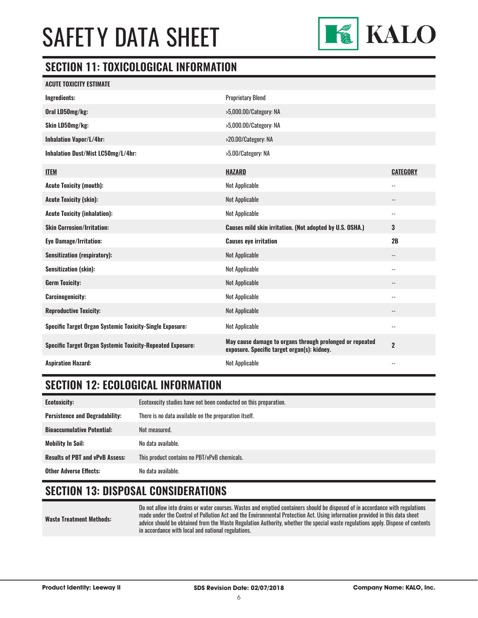

### **SECTION 11: TOXICOLOGICAL INFORMATION**

| <b>ACUTE TOXICITY ESTIMATE</b>                                    |                                                                                                         |                          |
|-------------------------------------------------------------------|---------------------------------------------------------------------------------------------------------|--------------------------|
| <b>Ingredients:</b>                                               | <b>Proprietary Blend</b>                                                                                |                          |
| Oral LD50mg/kg:                                                   | >5,000.00/Category: NA                                                                                  |                          |
| Skin LD50mg/kg:                                                   | >5,000.00/Category: NA                                                                                  |                          |
| <b>Inhalation Vapor/L/4hr:</b>                                    | >20.00/Category: NA                                                                                     |                          |
| Inhalation Dust/Mist LC50mg/L/4hr:                                | >5.00/Category: NA                                                                                      |                          |
| <b>ITEM</b>                                                       | <b>HAZARD</b>                                                                                           | <b>CATEGORY</b>          |
| <b>Acute Toxicity (mouth):</b>                                    | Not Applicable                                                                                          | $\overline{\phantom{a}}$ |
| <b>Acute Toxicity (skin):</b>                                     | <b>Not Applicable</b>                                                                                   | --                       |
| <b>Acute Toxicity (inhalation):</b>                               | <b>Not Applicable</b>                                                                                   | $\overline{\phantom{a}}$ |
| <b>Skin Corrosion/Irritation:</b>                                 | Causes mild skin irritation. (Not adopted by U.S. OSHA.)                                                | 3                        |
| <b>Eye Damage/Irritation:</b>                                     | <b>Causes eye irritation</b>                                                                            | 2B                       |
| <b>Sensitization (respiratory):</b>                               | <b>Not Applicable</b>                                                                                   | $\overline{\phantom{a}}$ |
| <b>Sensitization (skin):</b>                                      | <b>Not Applicable</b>                                                                                   | --                       |
| <b>Germ Toxicity:</b>                                             | <b>Not Applicable</b>                                                                                   | $\overline{\phantom{a}}$ |
| <b>Carcinogenicity:</b>                                           | <b>Not Applicable</b>                                                                                   | $-$                      |
| <b>Reproductive Toxicity:</b>                                     | <b>Not Applicable</b>                                                                                   | $-$                      |
| <b>Specific Target Organ Systemic Toxicity-Single Exposure:</b>   | <b>Not Applicable</b>                                                                                   | $\overline{\phantom{a}}$ |
| <b>Specific Target Organ Systemic Toxicity-Repeated Exposure:</b> | May cause damage to organs through prolonged or repeated<br>exposure. Specific target organ(s): kidney. | $\overline{2}$           |
| <b>Aspiration Hazard:</b>                                         | <b>Not Applicable</b>                                                                                   | $-$                      |

## **SECTION 12: ECOLOGICAL INFORMATION**

| <b>Ecotoxicity:</b>                    | Ecotoxocity studies have not been conducted on this preparation. |
|----------------------------------------|------------------------------------------------------------------|
| <b>Persistence and Degradability:</b>  | There is no data available on the preparation itself.            |
| <b>Bioaccumulative Potential:</b>      | Not measured.                                                    |
| <b>Mobility In Soil:</b>               | No data available.                                               |
| <b>Results of PBT and vPvB Assess:</b> | This product contains no PBT/vPvB chemicals.                     |
| <b>Other Adverse Effects:</b>          | No data available.                                               |

### **SECTION 13: DISPOSAL CONSIDERATIONS**

**Waste Treatment Methods:** Do not allow into drains or water courses. Wastes and emptied containers should be disposed of in accordance with regulations made under the Control of Pollution Act and the Environmental Protection Act. Using information provided in this data sheet advice should be obtained from the Waste Regulation Authority, whether the special waste regulations apply. Dispose of contents in accordance with local and national regulations.